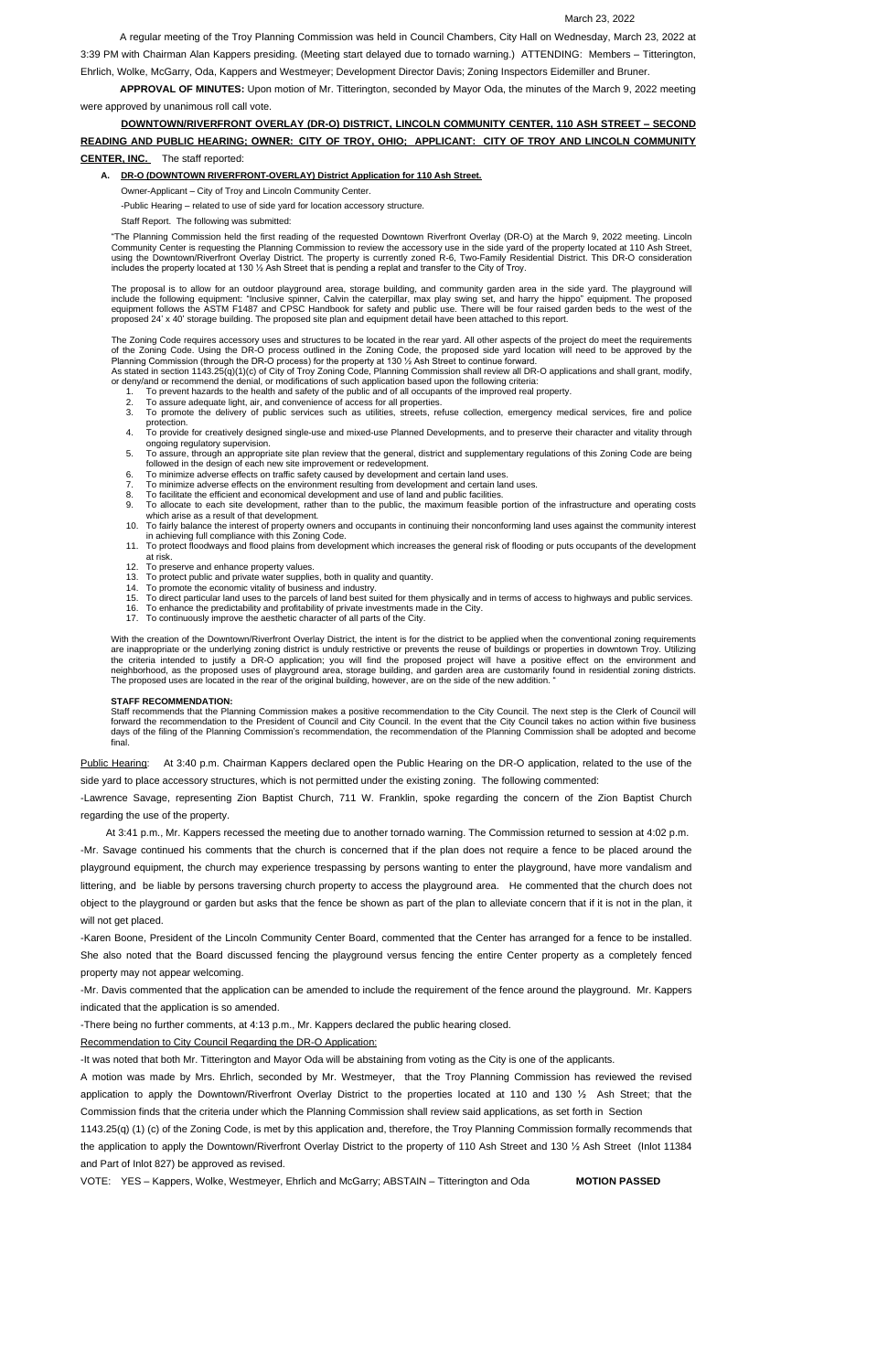#### March 23, 2022

A regular meeting of the Troy Planning Commission was held in Council Chambers, City Hall on Wednesday, March 23, 2022 at

3:39 PM with Chairman Alan Kappers presiding. (Meeting start delayed due to tornado warning.) ATTENDING: Members – Titterington, Ehrlich, Wolke, McGarry, Oda, Kappers and Westmeyer; Development Director Davis; Zoning Inspectors Eidemiller and Bruner.

**APPROVAL OF MINUTES:** Upon motion of Mr. Titterington, seconded by Mayor Oda, the minutes of the March 9, 2022 meeting were approved by unanimous roll call vote.

# **DOWNTOWN/RIVERFRONT OVERLAY (DR-O) DISTRICT, LINCOLN COMMUNITY CENTER, 110 ASH STREET – SECOND READING AND PUBLIC HEARING; OWNER: CITY OF TROY, OHIO; APPLICANT: CITY OF TROY AND LINCOLN COMMUNITY**

### **CENTER, INC.** The staff reported:

#### **A. DR-O (DOWNTOWN RIVERFRONT-OVERLAY) District Application for 110 Ash Street.**

Owner-Applicant – City of Troy and Lincoln Community Center.

-Public Hearing – related to use of side yard for location accessory structure.

Staff Report. The following was submitted:

"The Planning Commission held the first reading of the requested Downtown Riverfront Overlay (DR-O) at the March 9, 2022 meeting. Lincoln Community Center is requesting the Planning Commission to review the accessory use in the side yard of the property located at 110 Ash Street, using the Downtown/Riverfront Overlay District. The property is currently zoned R-6, Two-Family Residential District. This DR-O consideration includes the property located at 130 ½ Ash Street that is pending a replat and transfer to the City of Troy.

The proposal is to allow for an outdoor playground area, storage building, and community garden area in the side yard. The playground will include the following equipment: "Inclusive spinner, Calvin the caterpillar, max play swing set, and harry the hippo" equipment. The proposed equipment follows the ASTM F1487 and CPSC Handbook for safety and public use. There will be four raised garden beds to the west of the proposed 24' x 40' storage building. The proposed site plan and equipment detail have been attached to this report.

The Zoning Code requires accessory uses and structures to be located in the rear yard. All other aspects of the project do meet the requirements of the Zoning Code. Using the DR-O process outlined in the Zoning Code, the proposed side yard location will need to be approved by the Planning Commission (through the DR-O process) for the property at 130 ½ Ash Street to continue forward.

As stated in section 1143.25(q)(1)(c) of City of Troy Zoning Code, Planning Commission shall review all DR-O applications and shall grant, modify, or deny/and or recommend the denial, or modifications of such application based upon the following criteria:

With the creation of the Downtown/Riverfront Overlay District, the intent is for the district to be applied when the conventional zoning requirements are inappropriate or the underlying zoning district is unduly restrictive or prevents the reuse of buildings or properties in downtown Troy. Utilizing the criteria intended to justify a DR-O application; you will find the proposed project will have a positive effect on the environment and neighborhood, as the proposed uses of playground area, storage building, and garden area are customarily found in residential zoning districts. The proposed uses are located in the rear of the original building, however, are on the side of the new addition. "

Public Hearing: At 3:40 p.m. Chairman Kappers declared open the Public Hearing on the DR-O application, related to the use of the side yard to place accessory structures, which is not permitted under the existing zoning. The following commented:

-Mr. Davis commented that the application can be amended to include the requirement of the fence around the playground. Mr. Kappers ited that the application is so amended

- 1. To prevent hazards to the health and safety of the public and of all occupants of the improved real property.
- 2. To assure adequate light, air, and convenience of access for all properties.
- 3. To promote the delivery of public services such as utilities, streets, refuse collection, emergency medical services, fire and police protection.
- 4. To provide for creatively designed single-use and mixed-use Planned Developments, and to preserve their character and vitality through ongoing regulatory supervision.
- 5. To assure, through an appropriate site plan review that the general, district and supplementary regulations of this Zoning Code are being followed in the design of each new site improvement or redevelopment.
- 6. To minimize adverse effects on traffic safety caused by development and certain land uses.
- 7. To minimize adverse effects on the environment resulting from development and certain land uses.
- 8. To facilitate the efficient and economical development and use of land and public facilities.
- 9. To allocate to each site development, rather than to the public, the maximum feasible portion of the infrastructure and operating costs which arise as a result of that development.
- 10. To fairly balance the interest of property owners and occupants in continuing their nonconforming land uses against the community interest in achieving full compliance with this Zoning Code.
- 11. To protect floodways and flood plains from development which increases the general risk of flooding or puts occupants of the development at risk.
- 12. To preserve and enhance property values.
- 13. To protect public and private water supplies, both in quality and quantity.
- 14. To promote the economic vitality of business and industry.
- 15. To direct particular land uses to the parcels of land best suited for them physically and in terms of access to highways and public services.
- 16. To enhance the predictability and profitability of private investments made in the City.
- 17. To continuously improve the aesthetic character of all parts of the City.

#### **STAFF RECOMMENDATION:**

Staff recommends that the Planning Commission makes a positive recommendation to the City Council. The next step is the Clerk of Council will forward the recommendation to the President of Council and City Council. In the event that the City Council takes no action within five business days of the filing of the Planning Commission's recommendation, the recommendation of the Planning Commission shall be adopted and become final.

-Lawrence Savage, representing Zion Baptist Church, 711 W. Franklin, spoke regarding the concern of the Zion Baptist Church regarding the use of the property.

 At 3:41 p.m., Mr. Kappers recessed the meeting due to another tornado warning. The Commission returned to session at 4:02 p.m. -Mr. Savage continued his comments that the church is concerned that if the plan does not require a fence to be placed around the playground equipment, the church may experience trespassing by persons wanting to enter the playground, have more vandalism and littering, and be liable by persons traversing church property to access the playground area. He commented that the church does not object to the playground or garden but asks that the fence be shown as part of the plan to alleviate concern that if it is not in the plan, it will not get placed.

-Karen Boone, President of the Lincoln Community Center Board, commented that the Center has arranged for a fence to be installed. She also noted that the Board discussed fencing the playground versus fencing the entire Center property as a completely fenced property may not appear welcoming.

-There being no further comments, at 4:13 p.m., Mr. Kappers declared the public hearing closed.

#### Recommendation to City Council Regarding the DR-O Application:

-It was noted that both Mr. Titterington and Mayor Oda will be abstaining from voting as the City is one of the applicants. A motion was made by Mrs. Ehrlich, seconded by Mr. Westmeyer, that the Troy Planning Commission has reviewed the revised application to apply the Downtown/Riverfront Overlay District to the properties located at 110 and 130 ½ Ash Street; that the Commission finds that the criteria under which the Planning Commission shall review said applications, as set forth in Section 1143.25(q) (1) (c) of the Zoning Code, is met by this application and, therefore, the Troy Planning Commission formally recommends that the application to apply the Downtown/Riverfront Overlay District to the property of 110 Ash Street and 130 ½ Ash Street (Inlot 11384 and Part of Inlot 827) be approved as revised.

VOTE: YES – Kappers, Wolke, Westmeyer, Ehrlich and McGarry; ABSTAIN – Titterington and Oda **MOTION PASSED**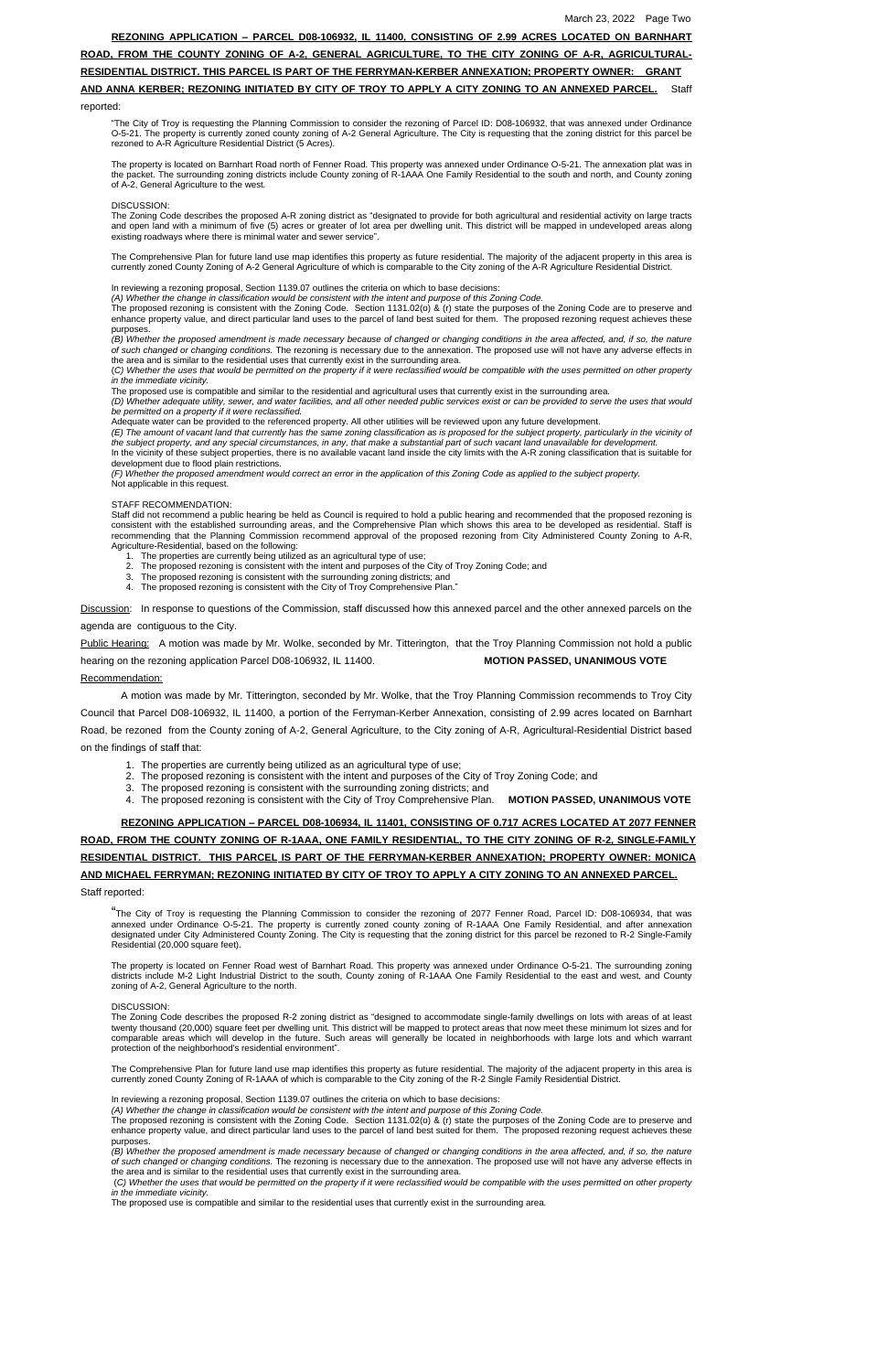#### **REZONING APPLICATION – PARCEL D08-106932, IL 11400, CONSISTING OF 2.99 ACRES LOCATED ON BARNHART**

**ROAD, FROM THE COUNTY ZONING OF A-2, GENERAL AGRICULTURE, TO THE CITY ZONING OF A-R, AGRICULTURAL-**

## **RESIDENTIAL DISTRICT. THIS PARCEL IS PART OF THE FERRYMAN-KERBER ANNEXATION; PROPERTY OWNER: GRANT**

## **AND ANNA KERBER; REZONING INITIATED BY CITY OF TROY TO APPLY A CITY ZONING TO AN ANNEXED PARCEL.** Staff

#### reported:

The property is located on Barnhart Road north of Fenner Road. This property was annexed under Ordinance O-5-21. The annexation plat was in the packet. The surrounding zoning districts include County zoning of R-1AAA One Family Residential to the south and north, and County zoning of A-2, General Agriculture to the west*.*

"The City of Troy is requesting the Planning Commission to consider the rezoning of Parcel ID: D08-106932, that was annexed under Ordinance O-5-21. The property is currently zoned county zoning of A-2 General Agriculture. The City is requesting that the zoning district for this parcel be rezoned to A-R Agriculture Residential District (5 Acres).

#### DISCUSSION:

The Zoning Code describes the proposed A-R zoning district as "designated to provide for both agricultural and residential activity on large tracts and open land with a minimum of five (5) acres or greater of lot area per dwelling unit. This district will be mapped in undeveloped areas along existing roadways where there is minimal water and sewer service".

(B) Whether the proposed amendment is made necessary because of changed or changing conditions in the area affected, and, if so, the nature *of such changed or changing conditions.* The rezoning is necessary due to the annexation. The proposed use will not have any adverse effects in the area and is similar to the residential uses that currently exist in the surrounding area.

(C) Whether the uses that would be permitted on the property if it were reclassified would be compatible with the uses permitted on other property *in the immediate vicinity.*

(D) Whether adequate utility, sewer, and water facilities, and all other needed public services exist or can be provided to serve the uses that would *be permitted on a property if it were reclassified.*

The Comprehensive Plan for future land use map identifies this property as future residential. The majority of the adjacent property in this area is currently zoned County Zoning of A-2 General Agriculture of which is comparable to the City zoning of the A-R Agriculture Residential District.

In reviewing a rezoning proposal, Section 1139.07 outlines the criteria on which to base decisions:

*(A) Whether the change in classification would be consistent with the intent and purpose of this Zoning Code.*

The proposed rezoning is consistent with the Zoning Code. Section 1131.02(o) & (r) state the purposes of the Zoning Code are to preserve and enhance property value, and direct particular land uses to the parcel of land best suited for them. The proposed rezoning request achieves these purposes.

- 1. The properties are currently being utilized as an agricultural type of use;
- 2. The proposed rezoning is consistent with the intent and purposes of the City of Troy Zoning Code; and
- 3. The proposed rezoning is consistent with the surrounding zoning districts; and
- 4. The proposed rezoning is consistent with the City of Troy Comprehensive Plan."

Discussion: In response to questions of the Commission, staff discussed how this annexed parcel and the other annexed parcels on the

The proposed use is compatible and similar to the residential and agricultural uses that currently exist in the surrounding area.

Adequate water can be provided to the referenced property. All other utilities will be reviewed upon any future development.

(E) The amount of vacant land that currently has the same zoning classification as is proposed for the subject property, particularly in the vicinity of

*the subject property, and any special circumstances, in any, that make a substantial part of such vacant land unavailable for development.* In the vicinity of these subject properties, there is no available vacant land inside the city limits with the A-R zoning classification that is suitable for development due to flood plain restrictions.

*(F) Whether the proposed amendment would correct an error in the application of this Zoning Code as applied to the subject property.* Not applicable in this request.

#### STAFF RECOMMENDATION:

Staff did not recommend a public hearing be held as Council is required to hold a public hearing and recommended that the proposed rezoning is consistent with the established surrounding areas, and the Comprehensive Plan which shows this area to be developed as residential. Staff is recommending that the Planning Commission recommend approval of the proposed rezoning from City Administered County Zoning to A-R, Agriculture-Residential, based on the following:

(B) Whether the proposed amendment is made necessary because of changed or changing conditions in the area affected, and, if so, the nature *of such changed or changing conditions.* The rezoning is necessary due to the annexation. The proposed use will not have any adverse effects in the area and is similar to the residential uses that currently exist in the surrounding area.

(C) Whether the uses that would be permitted on the property if it were reclassified would be compatible with the uses permitted on other property *in the immediate vicinity.*

#### agenda are contiguous to the City.

Public Hearing: A motion was made by Mr. Wolke, seconded by Mr. Titterington, that the Troy Planning Commission not hold a public

hearing on the rezoning application Parcel D08-106932, IL 11400. **MOTION PASSED, UNANIMOUS VOTE** 

#### Recommendation:

A motion was made by Mr. Titterington, seconded by Mr. Wolke, that the Troy Planning Commission recommends to Troy City Council that Parcel D08-106932, IL 11400, a portion of the Ferryman-Kerber Annexation, consisting of 2.99 acres located on Barnhart Road, be rezoned from the County zoning of A-2, General Agriculture, to the City zoning of A-R, Agricultural-Residential District based on the findings of staff that:

- 1. The properties are currently being utilized as an agricultural type of use;
- 2. The proposed rezoning is consistent with the intent and purposes of the City of Troy Zoning Code; and
- 3. The proposed rezoning is consistent with the surrounding zoning districts; and

4. The proposed rezoning is consistent with the City of Troy Comprehensive Plan. **MOTION PASSED, UNANIMOUS VOTE**

## **REZONING APPLICATION – PARCEL D08-106934, IL 11401, CONSISTING OF 0.717 ACRES LOCATED AT 2077 FENNER ROAD, FROM THE COUNTY ZONING OF R-1AAA, ONE FAMILY RESIDENTIAL, TO THE CITY ZONING OF R-2, SINGLE-FAMILY RESIDENTIAL DISTRICT. THIS PARCEL IS PART OF THE FERRYMAN-KERBER ANNEXATION; PROPERTY OWNER: MONICA AND MICHAEL FERRYMAN; REZONING INITIATED BY CITY OF TROY TO APPLY A CITY ZONING TO AN ANNEXED PARCEL.**

#### Staff reported:

"The City of Troy is requesting the Planning Commission to consider the rezoning of <sup>2077</sup> Fenner Road, Parcel ID: D08-106934, that was annexed under Ordinance O-5-21. The property is currently zoned county zoning of R-1AAA One Family Residential, and after annexation designated under City Administered County Zoning. The City is requesting that the zoning district for this parcel be rezoned to R-2 Single-Family Residential (20,000 square feet).

The property is located on Fenner Road west of Barnhart Road. This property was annexed under Ordinance O-5-21. The surrounding zoning districts include M-2 Light Industrial District to the south, County zoning of R-1AAA One Family Residential to the east and west, and County zoning of A-2, General Agriculture to the north.

The Zoning Code describes the proposed R-2 zoning district as "designed to accommodate single-family dwellings on lots with areas of at least twenty thousand (20,000) square feet per dwelling unit. This district will be mapped to protect areas that now meet these minimum lot sizes and for comparable areas which will develop in the future. Such areas will generally be located in neighborhoods with large lots and which warrant protection of the neighborhood's residential environment".

The Comprehensive Plan for future land use map identifies this property as future residential. The majority of the adjacent property in this area is currently zoned County Zoning of R-1AAA of which is comparable to the City zoning of the R-2 Single Family Residential District.

In reviewing a rezoning proposal, Section 1139.07 outlines the criteria on which to base decisions:

*(A) Whether the change in classification would be consistent with the intent and purpose of this Zoning Code.*

The proposed rezoning is consistent with the Zoning Code. Section 1131.02(o) & (r) state the purposes of the Zoning Code are to preserve and enhance property value, and direct particular land uses to the parcel of land best suited for them. The proposed rezoning request achieves these purposes.

The proposed use is compatible and similar to the residential uses that currently exist in the surrounding area.